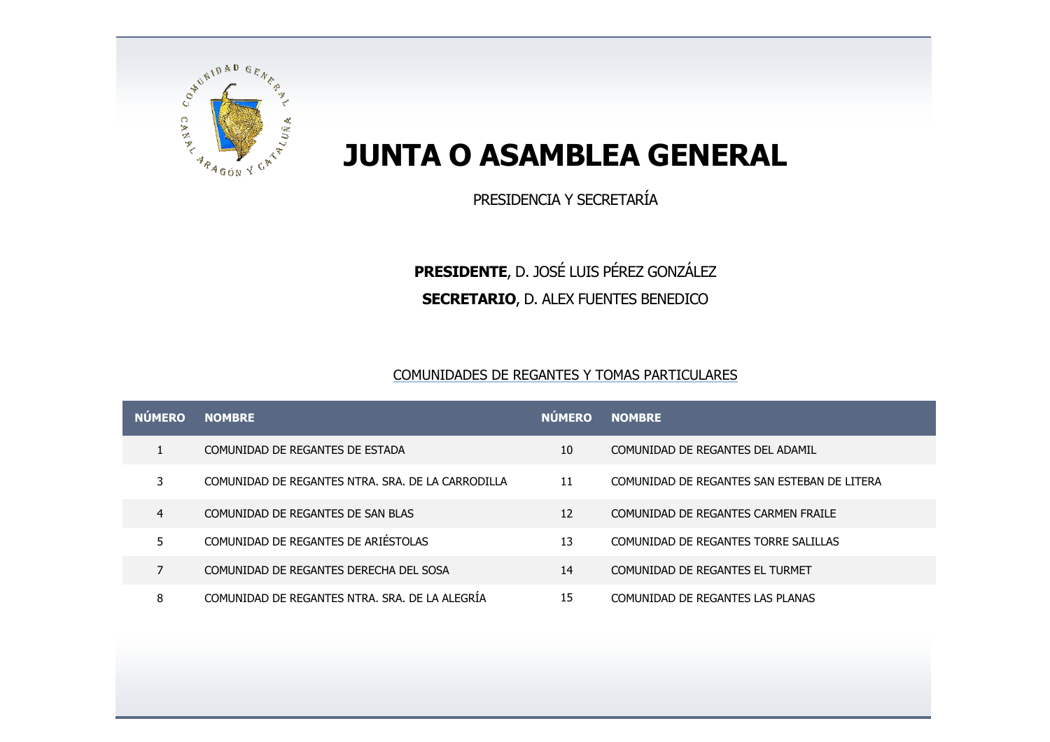

## **JUNTA O ASAMBLEA GENERAL**

PRESIDENCIA Y SECRETARÍA

## **PRESIDENTE**, D. JOSÉ LUIS PÉREZ GONZÁLEZ **SECRETARIO**, D. ALEX FUENTES BENEDICO

## COMUNIDADES DE REGANTES Y TOMAS PARTICULARES

| <b>NUMERO</b> | <b>NOMBRE</b>                                     | <b>NÚMERO</b> | <b>NOMBRE</b>                               |
|---------------|---------------------------------------------------|---------------|---------------------------------------------|
|               | COMUNIDAD DE REGANTES DE ESTADA                   | 10            | COMUNIDAD DE REGANTES DEL ADAMIL            |
|               | COMUNIDAD DE REGANTES NTRA. SRA. DE LA CARRODILLA | 11            | COMUNIDAD DE REGANTES SAN ESTEBAN DE LITERA |
| 4             | COMUNIDAD DE REGANTES DE SAN BLAS                 | 12            | COMUNIDAD DE REGANTES CARMEN FRAILE         |
| 5             | COMUNIDAD DE REGANTES DE ARIÉSTOLAS               | 13            | COMUNIDAD DE REGANTES TORRE SALILLAS        |
|               | COMUNIDAD DE REGANTES DERECHA DEL SOSA            | 14            | COMUNIDAD DE REGANTES EL TURMET             |
| 8             | COMUNIDAD DE REGANTES NTRA. SRA. DE LA ALEGRIA    | 15            | COMUNIDAD DE REGANTES LAS PLANAS            |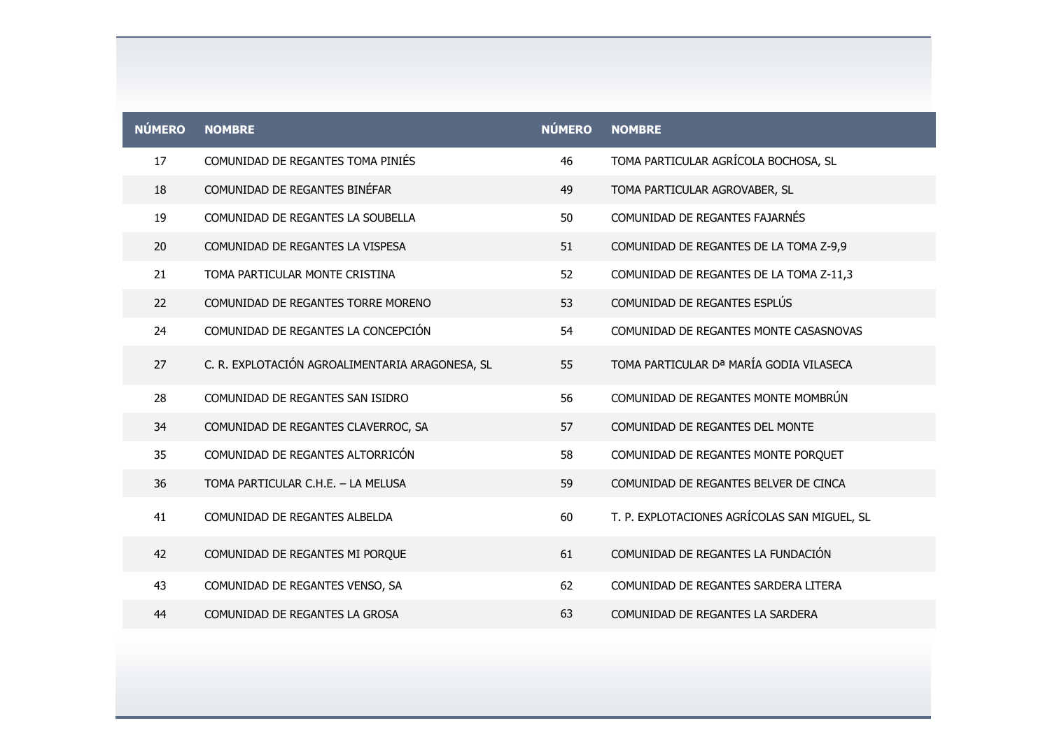| <b>NÚMERO</b> | <b>NOMBRE</b>                                   | <b>NÚMERO</b> | <b>NOMBRE</b>                                |
|---------------|-------------------------------------------------|---------------|----------------------------------------------|
| 17            | COMUNIDAD DE REGANTES TOMA PINIÉS               | 46            | TOMA PARTICULAR AGRÍCOLA BOCHOSA, SL         |
| 18            | COMUNIDAD DE REGANTES BINÉFAR                   | 49            | TOMA PARTICULAR AGROVABER, SL                |
| 19            | COMUNIDAD DE REGANTES LA SOUBELLA               | 50            | COMUNIDAD DE REGANTES FAJARNÉS               |
| 20            | COMUNIDAD DE REGANTES LA VISPESA                | 51            | COMUNIDAD DE REGANTES DE LA TOMA Z-9,9       |
| 21            | TOMA PARTICULAR MONTE CRISTINA                  | 52            | COMUNIDAD DE REGANTES DE LA TOMA Z-11,3      |
| 22            | COMUNIDAD DE REGANTES TORRE MORENO              | 53            | COMUNIDAD DE REGANTES ESPLÚS                 |
| 24            | COMUNIDAD DE REGANTES LA CONCEPCIÓN             | 54            | COMUNIDAD DE REGANTES MONTE CASASNOVAS       |
| 27            | C. R. EXPLOTACIÓN AGROALIMENTARIA ARAGONESA, SL | 55            | TOMA PARTICULAR Dª MARÍA GODIA VILASECA      |
| 28            | COMUNIDAD DE REGANTES SAN ISIDRO                | 56            | COMUNIDAD DE REGANTES MONTE MOMBRÚN          |
| 34            | COMUNIDAD DE REGANTES CLAVERROC, SA             | 57            | COMUNIDAD DE REGANTES DEL MONTE              |
| 35            | COMUNIDAD DE REGANTES ALTORRICÓN                | 58            | COMUNIDAD DE REGANTES MONTE PORQUET          |
| 36            | TOMA PARTICULAR C.H.E. - LA MELUSA              | 59            | COMUNIDAD DE REGANTES BELVER DE CINCA        |
| 41            | COMUNIDAD DE REGANTES ALBELDA                   | 60            | T. P. EXPLOTACIONES AGRÍCOLAS SAN MIGUEL, SL |
| 42            | COMUNIDAD DE REGANTES MI PORQUE                 | 61            | COMUNIDAD DE REGANTES LA FUNDACIÓN           |
| 43            | COMUNIDAD DE REGANTES VENSO, SA                 | 62            | COMUNIDAD DE REGANTES SARDERA LITERA         |
| 44            | COMUNIDAD DE REGANTES LA GROSA                  | 63            | COMUNIDAD DE REGANTES LA SARDERA             |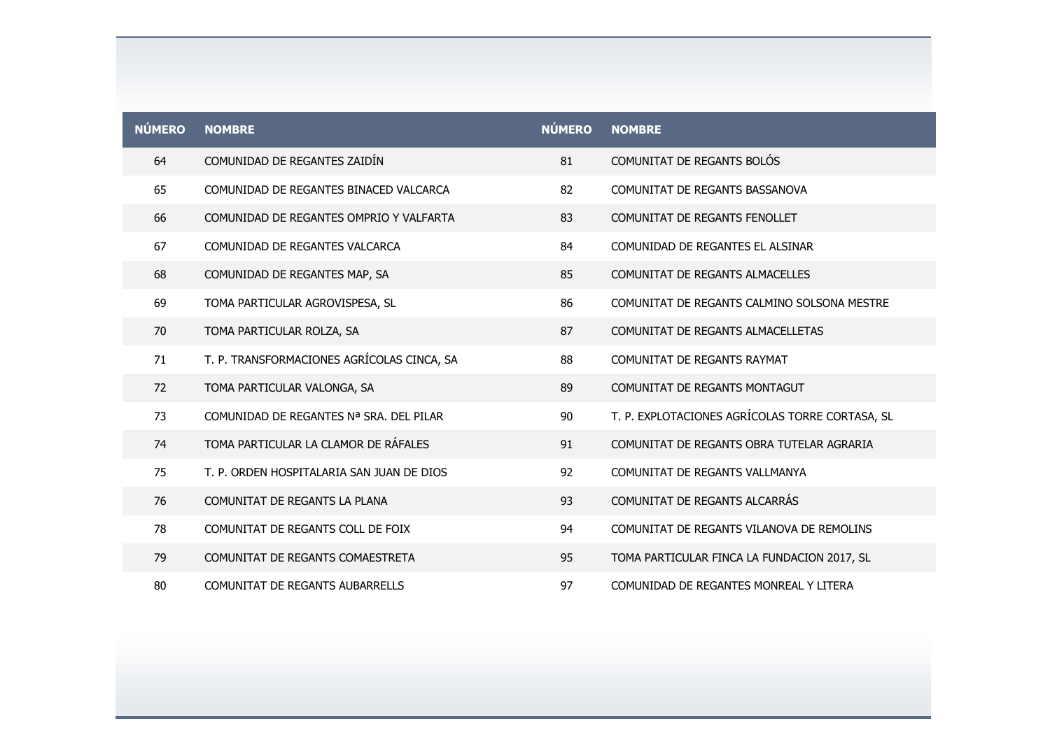| <b>NÚMERO</b> | <b>NOMBRE</b>                              | <b>NÚMERO</b> | <b>NOMBRE</b>                                   |
|---------------|--------------------------------------------|---------------|-------------------------------------------------|
| 64            | COMUNIDAD DE REGANTES ZAIDÍN               | 81            | COMUNITAT DE REGANTS BOLÓS                      |
| 65            | COMUNIDAD DE REGANTES BINACED VALCARCA     | 82            | COMUNITAT DE REGANTS BASSANOVA                  |
| 66            | COMUNIDAD DE REGANTES OMPRIO Y VALFARTA    | 83            | COMUNITAT DE REGANTS FENOLLET                   |
| 67            | COMUNIDAD DE REGANTES VALCARCA             | 84            | COMUNIDAD DE REGANTES EL ALSINAR                |
| 68            | COMUNIDAD DE REGANTES MAP, SA              | 85            | COMUNITAT DE REGANTS ALMACELLES                 |
| 69            | TOMA PARTICULAR AGROVISPESA, SL            | 86            | COMUNITAT DE REGANTS CALMINO SOLSONA MESTRE     |
| 70            | TOMA PARTICULAR ROLZA, SA                  | 87            | COMUNITAT DE REGANTS ALMACELLETAS               |
| 71            | T. P. TRANSFORMACIONES AGRÍCOLAS CINCA, SA | 88            | COMUNITAT DE REGANTS RAYMAT                     |
| 72            | TOMA PARTICULAR VALONGA, SA                | 89            | COMUNITAT DE REGANTS MONTAGUT                   |
| 73            | COMUNIDAD DE REGANTES Nª SRA. DEL PILAR    | 90            | T. P. EXPLOTACIONES AGRÍCOLAS TORRE CORTASA, SL |
| 74            | TOMA PARTICULAR LA CLAMOR DE RÁFALES       | 91            | COMUNITAT DE REGANTS OBRA TUTELAR AGRARIA       |
| 75            | T. P. ORDEN HOSPITALARIA SAN JUAN DE DIOS  | 92            | COMUNITAT DE REGANTS VALLMANYA                  |
| 76            | COMUNITAT DE REGANTS LA PLANA              | 93            | COMUNITAT DE REGANTS ALCARRÁS                   |
| 78            | COMUNITAT DE REGANTS COLL DE FOIX          | 94            | COMUNITAT DE REGANTS VILANOVA DE REMOLINS       |
| 79            | COMUNITAT DE REGANTS COMAESTRETA           | 95            | TOMA PARTICULAR FINCA LA FUNDACION 2017, SL     |
| 80            | <b>COMUNITAT DE REGANTS AUBARRELLS</b>     | 97            | COMUNIDAD DE REGANTES MONREAL Y LITERA          |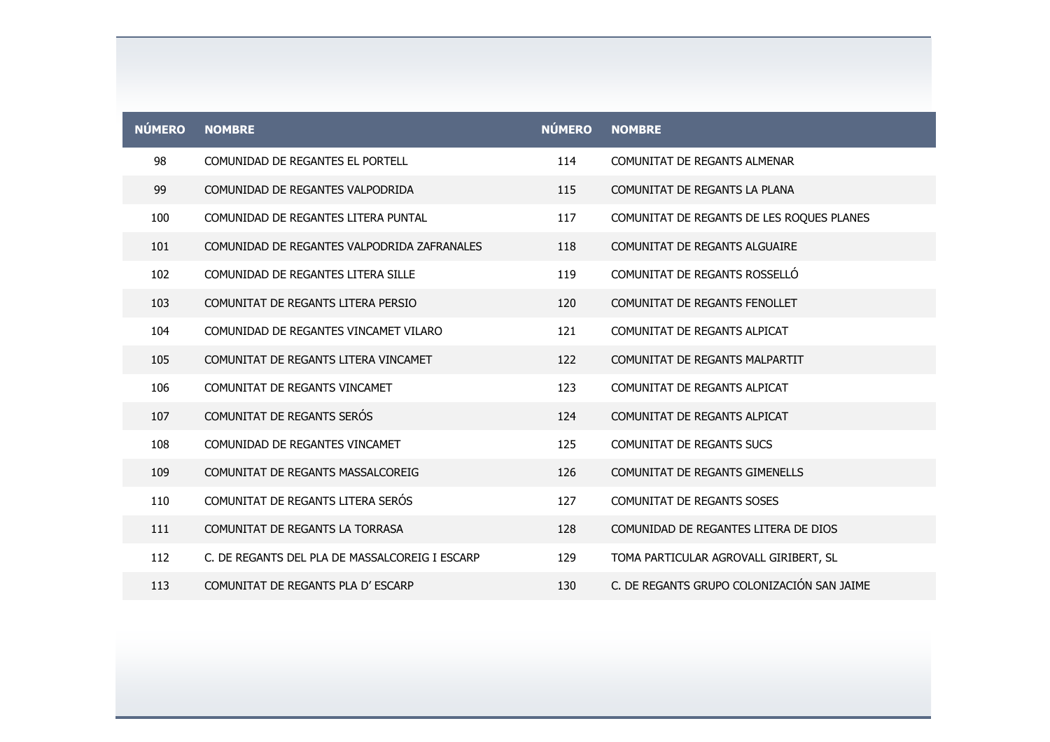| <b>NÚMERO</b> | <b>NOMBRE</b>                                  | <b>NÚMERO</b> | <b>NOMBRE</b>                              |
|---------------|------------------------------------------------|---------------|--------------------------------------------|
| 98            | COMUNIDAD DE REGANTES EL PORTELL               | 114           | COMUNITAT DE REGANTS ALMENAR               |
| 99            | COMUNIDAD DE REGANTES VALPODRIDA               | 115           | COMUNITAT DE REGANTS LA PLANA              |
| 100           | COMUNIDAD DE REGANTES LITERA PUNTAL            | 117           | COMUNITAT DE REGANTS DE LES ROQUES PLANES  |
| 101           | COMUNIDAD DE REGANTES VALPODRIDA ZAFRANALES    | 118           | COMUNITAT DE REGANTS ALGUAIRE              |
| 102           | COMUNIDAD DE REGANTES LITERA SILLE             | 119           | COMUNITAT DE REGANTS ROSSELLÓ              |
| 103           | COMUNITAT DE REGANTS LITERA PERSIO             | 120           | COMUNITAT DE REGANTS FENOLLET              |
| 104           | COMUNIDAD DE REGANTES VINCAMET VILARO          | 121           | COMUNITAT DE REGANTS ALPICAT               |
| 105           | COMUNITAT DE REGANTS LITERA VINCAMET           | 122           | COMUNITAT DE REGANTS MALPARTIT             |
| 106           | COMUNITAT DE REGANTS VINCAMET                  | 123           | COMUNITAT DE REGANTS ALPICAT               |
| 107           | COMUNITAT DE REGANTS SERÓS                     | 124           | COMUNITAT DE REGANTS ALPICAT               |
| 108           | COMUNIDAD DE REGANTES VINCAMET                 | 125           | <b>COMUNITAT DE REGANTS SUCS</b>           |
| 109           | COMUNITAT DE REGANTS MASSALCOREIG              | 126           | COMUNITAT DE REGANTS GIMENELLS             |
| 110           | COMUNITAT DE REGANTS LITERA SERÓS              | 127           | <b>COMUNITAT DE REGANTS SOSES</b>          |
| 111           | COMUNITAT DE REGANTS LA TORRASA                | 128           | COMUNIDAD DE REGANTES LITERA DE DIOS       |
| 112           | C. DE REGANTS DEL PLA DE MASSALCOREIG I ESCARP | 129           | TOMA PARTICULAR AGROVALL GIRIBERT, SL      |
| 113           | COMUNITAT DE REGANTS PLA D'ESCARP              | 130           | C. DE REGANTS GRUPO COLONIZACIÓN SAN JAIME |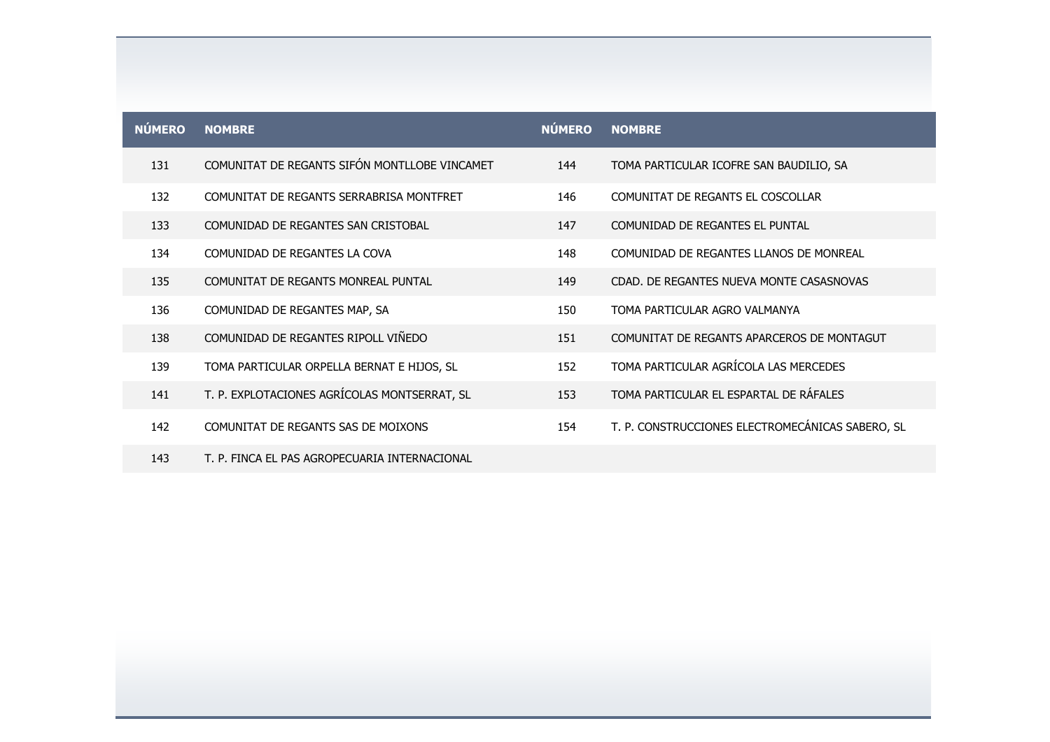| <b>NÚMERO</b> | <b>NOMBRE</b>                                 | <b>NÚMERO</b> | <b>NOMBRE</b>                                    |
|---------------|-----------------------------------------------|---------------|--------------------------------------------------|
| 131           | COMUNITAT DE REGANTS SIFÓN MONTLLOBE VINCAMET | 144           | TOMA PARTICULAR ICOFRE SAN BAUDILIO, SA          |
| 132           | COMUNITAT DE REGANTS SERRABRISA MONTFRET      | 146           | COMUNITAT DE REGANTS EL COSCOLLAR                |
| 133           | COMUNIDAD DE REGANTES SAN CRISTOBAL           | 147           | COMUNIDAD DE REGANTES EL PUNTAL                  |
| 134           | COMUNIDAD DE REGANTES LA COVA                 | 148           | COMUNIDAD DE REGANTES LLANOS DE MONREAL          |
| 135           | COMUNITAT DE REGANTS MONREAL PUNTAL           | 149           | CDAD. DE REGANTES NUEVA MONTE CASASNOVAS         |
| 136           | COMUNIDAD DE REGANTES MAP, SA                 | 150           | TOMA PARTICULAR AGRO VALMANYA                    |
| 138           | COMUNIDAD DE REGANTES RIPOLL VIÑEDO           | 151           | COMUNITAT DE REGANTS APARCEROS DE MONTAGUT       |
| 139           | TOMA PARTICULAR ORPELLA BERNAT E HIJOS, SL    | 152           | TOMA PARTICULAR AGRÍCOLA LAS MERCEDES            |
| 141           | T. P. EXPLOTACIONES AGRÍCOLAS MONTSERRAT, SL  | 153           | TOMA PARTICULAR EL ESPARTAL DE RÁFALES           |
| 142           | COMUNITAT DE REGANTS SAS DE MOIXONS           | 154           | T. P. CONSTRUCCIONES ELECTROMECÁNICAS SABERO, SL |
| 143           | T. P. FINCA EL PAS AGROPECUARIA INTERNACIONAL |               |                                                  |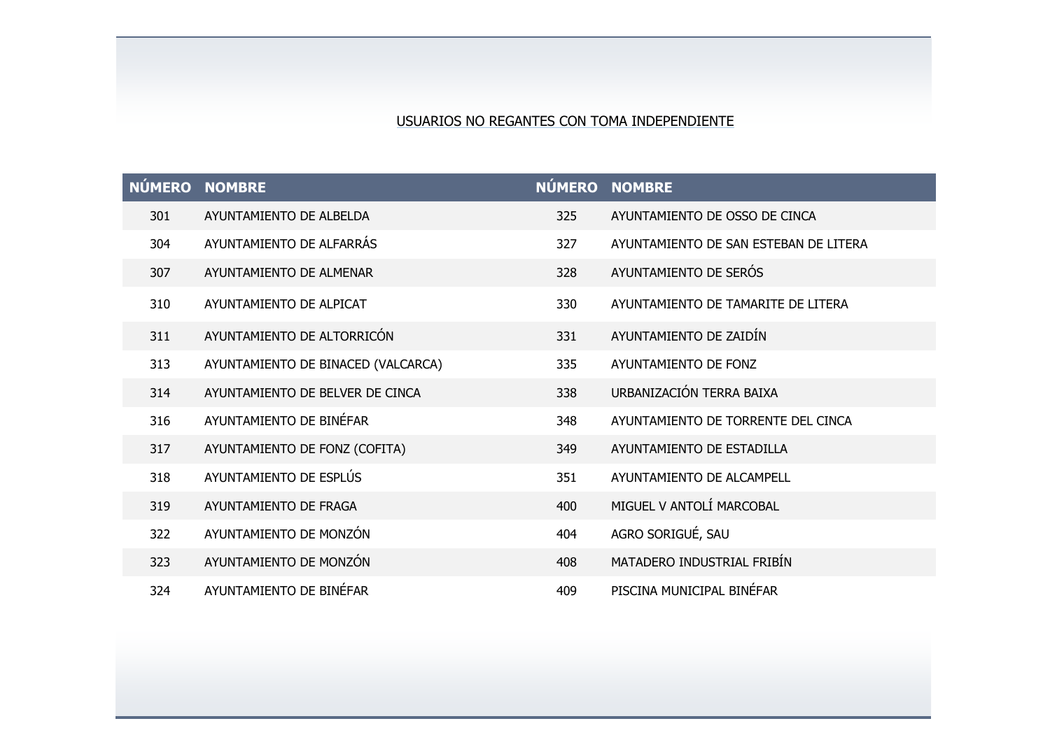## USUARIOS NO REGANTES CON TOMA INDEPENDIENTE

| NÚMERO NOMBRE |                                    |     | NÚMERO NOMBRE                         |
|---------------|------------------------------------|-----|---------------------------------------|
| 301           | AYUNTAMIENTO DE ALBELDA            | 325 | AYUNTAMIENTO DE OSSO DE CINCA         |
| 304           | AYUNTAMIENTO DE ALFARRÁS           | 327 | AYUNTAMIENTO DE SAN ESTEBAN DE LITERA |
| 307           | AYUNTAMIENTO DE ALMENAR            | 328 | AYUNTAMIENTO DE SERÓS                 |
| 310           | AYUNTAMIENTO DE ALPICAT            | 330 | AYUNTAMIENTO DE TAMARITE DE LITERA    |
| 311           | AYUNTAMIENTO DE ALTORRICÓN         | 331 | AYUNTAMIENTO DE ZAIDÍN                |
| 313           | AYUNTAMIENTO DE BINACED (VALCARCA) | 335 | AYUNTAMIENTO DE FONZ                  |
| 314           | AYUNTAMIENTO DE BELVER DE CINCA    | 338 | URBANIZACIÓN TERRA BAIXA              |
| 316           | AYUNTAMIENTO DE BINÉFAR            | 348 | AYUNTAMIENTO DE TORRENTE DEL CINCA    |
| 317           | AYUNTAMIENTO DE FONZ (COFITA)      | 349 | AYUNTAMIENTO DE ESTADILLA             |
| 318           | AYUNTAMIENTO DE ESPLÚS             | 351 | AYUNTAMIENTO DE ALCAMPELL             |
| 319           | AYUNTAMIENTO DE FRAGA              | 400 | MIGUEL V ANTOLÍ MARCOBAL              |
| 322           | AYUNTAMIENTO DE MONZÓN             | 404 | AGRO SORIGUÉ, SAU                     |
| 323           | AYUNTAMIENTO DE MONZÓN             | 408 | MATADERO INDUSTRIAL FRIBÍN            |
| 324           | AYUNTAMIENTO DE BINÉFAR            | 409 | PISCINA MUNICIPAL BINÉFAR             |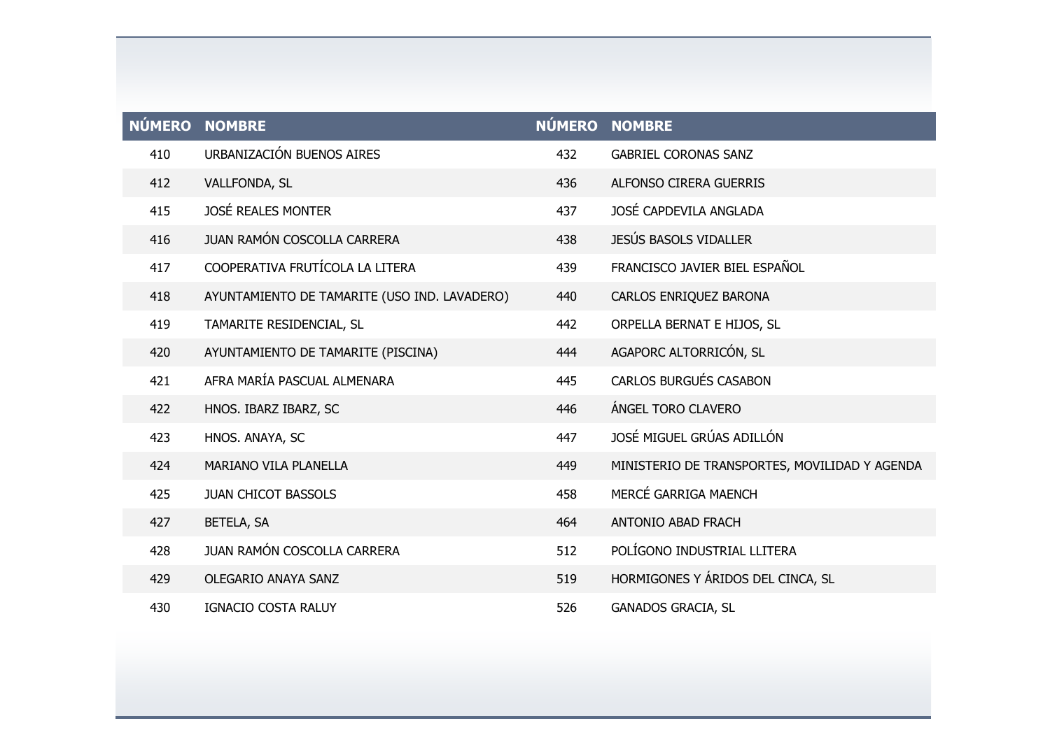|     | NÚMERO NOMBRE                                |     | NÚMERO NOMBRE                                 |
|-----|----------------------------------------------|-----|-----------------------------------------------|
| 410 | URBANIZACIÓN BUENOS AIRES                    | 432 | <b>GABRIEL CORONAS SANZ</b>                   |
| 412 | VALLFONDA, SL                                | 436 | <b>ALFONSO CIRERA GUERRIS</b>                 |
| 415 | <b>JOSÉ REALES MONTER</b>                    | 437 | JOSÉ CAPDEVILA ANGLADA                        |
| 416 | JUAN RAMÓN COSCOLLA CARRERA                  | 438 | JESÚS BASOLS VIDALLER                         |
| 417 | COOPERATIVA FRUTÍCOLA LA LITERA              | 439 | FRANCISCO JAVIER BIEL ESPAÑOL                 |
| 418 | AYUNTAMIENTO DE TAMARITE (USO IND. LAVADERO) | 440 | CARLOS ENRIQUEZ BARONA                        |
| 419 | TAMARITE RESIDENCIAL, SL                     | 442 | ORPELLA BERNAT E HIJOS, SL                    |
| 420 | AYUNTAMIENTO DE TAMARITE (PISCINA)           | 444 | AGAPORC ALTORRICÓN, SL                        |
| 421 | AFRA MARÍA PASCUAL ALMENARA                  | 445 | <b>CARLOS BURGUÉS CASABON</b>                 |
| 422 | HNOS. IBARZ IBARZ, SC                        | 446 | ÁNGEL TORO CLAVERO                            |
| 423 | HNOS. ANAYA, SC                              | 447 | JOSÉ MIGUEL GRÚAS ADILLÓN                     |
| 424 | MARIANO VILA PLANELLA                        | 449 | MINISTERIO DE TRANSPORTES, MOVILIDAD Y AGENDA |
| 425 | JUAN CHICOT BASSOLS                          | 458 | MERCÉ GARRIGA MAENCH                          |
| 427 | BETELA, SA                                   | 464 | <b>ANTONIO ABAD FRACH</b>                     |
| 428 | JUAN RAMÓN COSCOLLA CARRERA                  | 512 | POLÍGONO INDUSTRIAL LLITERA                   |
| 429 | <b>OLEGARIO ANAYA SANZ</b>                   | 519 | HORMIGONES Y ÁRIDOS DEL CINCA, SL             |
| 430 | IGNACIO COSTA RALUY                          | 526 | <b>GANADOS GRACIA, SL</b>                     |